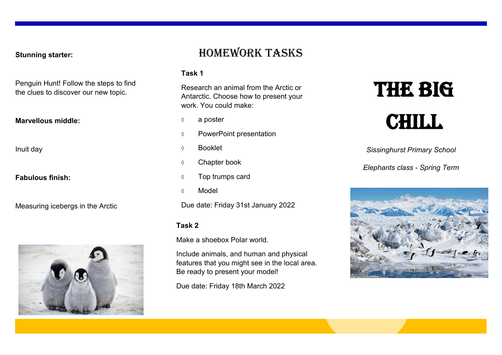**Stunning starter:**

Penguin Hunt! Follow the steps to find the clues to discover our new topic.

#### **Marvellous middle:**

Inuit day

**Fabulous finish:**

Measuring icebergs in the Arctic



## Homework tasks

#### **Task 1**

Research an animal from the Arctic or Antarctic. Choose how to present your work. You could make:

- $\Diamond$  a poster
- PowerPoint presentation
- Booklet
- Chapter book
- $\Diamond$  Top trumps card
- Model

Due date: Friday 31st January 2022

#### **Task 2**

Make a shoebox Polar world.

Include animals, and human and physical features that you might see in the local area. Be ready to present your model!

Due date: Friday 18th March 2022

# **THE BIG CHILL**

*Sissinghurst Primary School*

*Elephants class - Spring Term*